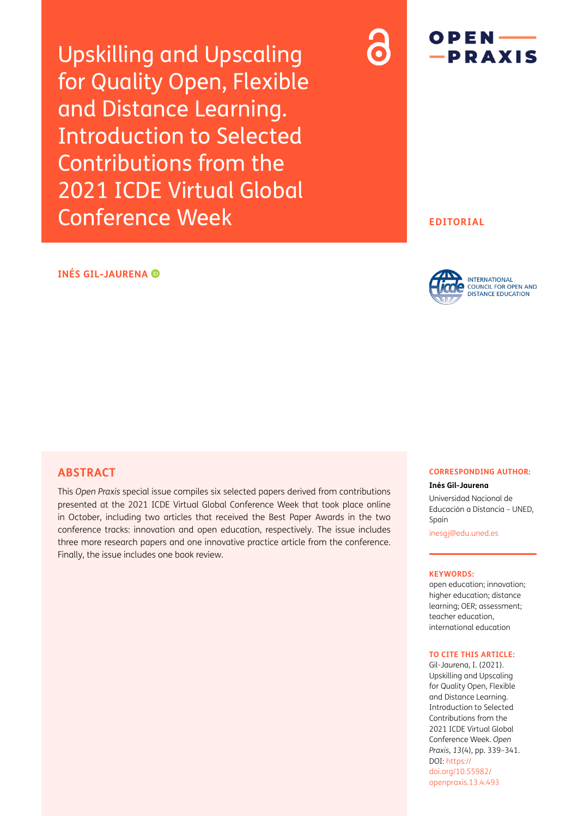Upskilling and Upscaling for Quality Open, Flexible and Distance Learning. Introduction to Selected Contributions from the 2021 ICDE Virtual Global Conference Week

# $OPEN$  — -PRAXIS

### **EDITORIAL**

### **INÉS GIL-JAURENA**



### **ABSTRACT**

This *Open Praxis* special issue compiles six selected papers derived from contributions presented at the 2021 ICDE Virtual Global Conference Week that took place online in October, including two articles that received the Best Paper Awards in the two conference tracks: innovation and open education, respectively. The issue includes three more research papers and one innovative practice article from the conference. Finally, the issue includes one book review.

### **CORRESPONDING AUTHOR:**

**Inés Gil-Jaurena**

Universidad Nacional de Educación a Distancia – UNED, Spain

[inesgj@edu.uned.es](mailto:inesgj@edu.uned.es)

#### **KEYWORDS:**

open education; innovation; higher education; distance learning; OER; assessment; teacher education, international education

#### **TO CITE THIS ARTICLE:**

Gil-Jaurena, I. (2021). Upskilling and Upscaling for Quality Open, Flexible and Distance Learning. Introduction to Selected Contributions from the 2021 ICDE Virtual Global Conference Week. *Open Praxis*, *13*(4), pp. 339–341. [DOI: https://](https://doi.org/10.51944/openpraxis.13.4.493) doi.org/10.55982/ [openpraxis.13.4.493](https://doi.org/10.51944/openpraxis.13.4.493)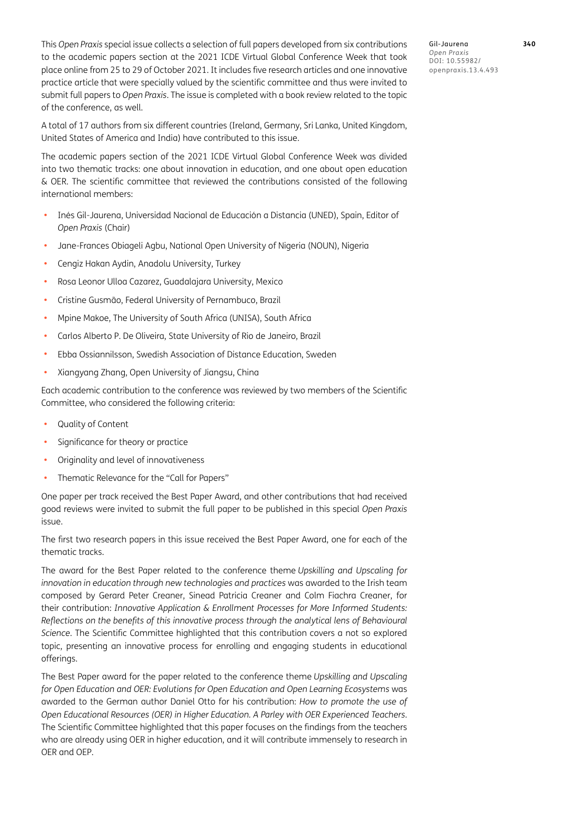This *Open Praxis* special issue collects a selection of full papers developed from six contributions to the academic papers section at the 2021 ICDE Virtual Global Conference Week that took place online from 25 to 29 of October 2021. It includes five research articles and one innovative practice article that were specially valued by the scientific committee and thus were invited to submit full papers to *Open Praxis*. The issue is completed with a book review related to the topic of the conference, as well.

Gil-Jaurena **340** *Open Praxis* DOI: 10.55982/ openpraxis.13.4.493

A total of 17 authors from six different countries (Ireland, Germany, Sri Lanka, United Kingdom, United States of America and India) have contributed to this issue.

The academic papers section of the 2021 ICDE Virtual Global Conference Week was divided into two thematic tracks: one about innovation in education, and one about open education & OER. The scientific committee that reviewed the contributions consisted of the following international members:

- **•** Inés Gil-Jaurena, Universidad Nacional de Educación a Distancia (UNED), Spain, Editor of *Open Praxis* (Chair)
- **•** Jane-Frances Obiageli Agbu, National Open University of Nigeria (NOUN), Nigeria
- **•** Cengiz Hakan Aydin, Anadolu University, Turkey
- **•** Rosa Leonor Ulloa Cazarez, Guadalajara University, Mexico
- **•** Cristine Gusmão, Federal University of Pernambuco, Brazil
- **•** Mpine Makoe, The University of South Africa (UNISA), South Africa
- **•** Carlos Alberto P. De Oliveira, State University of Rio de Janeiro, Brazil
- **•** Ebba Ossiannilsson, Swedish Association of Distance Education, Sweden
- **•** Xiangyang Zhang, Open University of Jiangsu, China

Each academic contribution to the conference was reviewed by two members of the Scientific Committee, who considered the following criteria:

- **•** Quality of Content
- **•** Significance for theory or practice
- **•** Originality and level of innovativeness
- **•** Thematic Relevance for the "Call for Papers"

One paper per track received the Best Paper Award, and other contributions that had received good reviews were invited to submit the full paper to be published in this special *Open Praxis* issue.

The first two research papers in this issue received the Best Paper Award, one for each of the thematic tracks.

The award for the Best Paper related to the conference theme *Upskilling and Upscaling for innovation in education through new technologies and practices* was awarded to the Irish team composed by Gerard Peter Creaner, Sinead Patricia Creaner and Colm Fiachra Creaner, for their contribution: *Innovative Application & Enrollment Processes for More Informed Students: Reflections on the benefits of this innovative process through the analytical lens of Behavioural Science*. The Scientific Committee highlighted that this contribution covers a not so explored topic, presenting an innovative process for enrolling and engaging students in educational offerings.

The Best Paper award for the paper related to the conference theme *Upskilling and Upscaling for Open Education and OER: Evolutions for Open Education and Open Learning Ecosystems* was awarded to the German author Daniel Otto for his contribution: *How to promote the use of Open Educational Resources (OER) in Higher Education. A Parley with OER Experienced Teachers*. The Scientific Committee highlighted that this paper focuses on the findings from the teachers who are already using OER in higher education, and it will contribute immensely to research in OER and OEP.